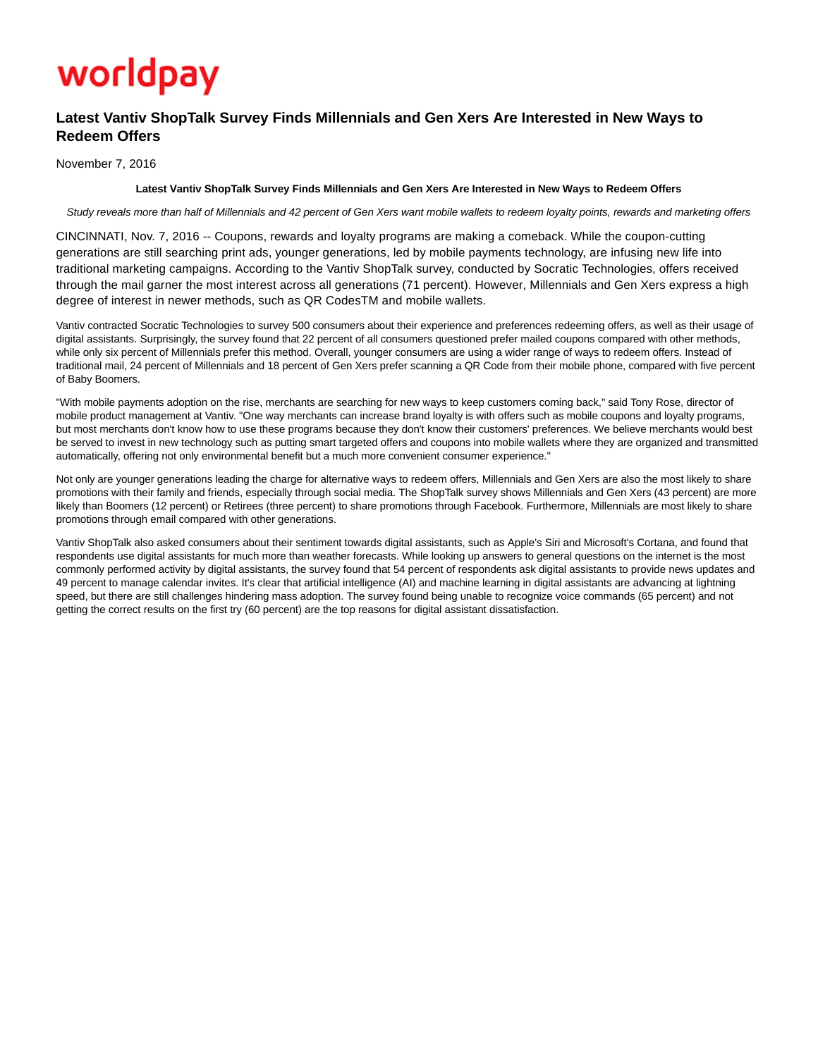# worldpay

# **Latest Vantiv ShopTalk Survey Finds Millennials and Gen Xers Are Interested in New Ways to Redeem Offers**

November 7, 2016

## **Latest Vantiv ShopTalk Survey Finds Millennials and Gen Xers Are Interested in New Ways to Redeem Offers**

Study reveals more than half of Millennials and 42 percent of Gen Xers want mobile wallets to redeem loyalty points, rewards and marketing offers

CINCINNATI, Nov. 7, 2016 -- Coupons, rewards and loyalty programs are making a comeback. While the coupon-cutting generations are still searching print ads, younger generations, led by mobile payments technology, are infusing new life into traditional marketing campaigns. According to the Vantiv ShopTalk survey, conducted by Socratic Technologies, offers received through the mail garner the most interest across all generations (71 percent). However, Millennials and Gen Xers express a high degree of interest in newer methods, such as QR CodesTM and mobile wallets.

Vantiv contracted Socratic Technologies to survey 500 consumers about their experience and preferences redeeming offers, as well as their usage of digital assistants. Surprisingly, the survey found that 22 percent of all consumers questioned prefer mailed coupons compared with other methods, while only six percent of Millennials prefer this method. Overall, younger consumers are using a wider range of ways to redeem offers. Instead of traditional mail, 24 percent of Millennials and 18 percent of Gen Xers prefer scanning a QR Code from their mobile phone, compared with five percent of Baby Boomers.

"With mobile payments adoption on the rise, merchants are searching for new ways to keep customers coming back," said Tony Rose, director of mobile product management at Vantiv. "One way merchants can increase brand loyalty is with offers such as mobile coupons and loyalty programs, but most merchants don't know how to use these programs because they don't know their customers' preferences. We believe merchants would best be served to invest in new technology such as putting smart targeted offers and coupons into mobile wallets where they are organized and transmitted automatically, offering not only environmental benefit but a much more convenient consumer experience."

Not only are younger generations leading the charge for alternative ways to redeem offers, Millennials and Gen Xers are also the most likely to share promotions with their family and friends, especially through social media. The ShopTalk survey shows Millennials and Gen Xers (43 percent) are more likely than Boomers (12 percent) or Retirees (three percent) to share promotions through Facebook. Furthermore, Millennials are most likely to share promotions through email compared with other generations.

Vantiv ShopTalk also asked consumers about their sentiment towards digital assistants, such as Apple's Siri and Microsoft's Cortana, and found that respondents use digital assistants for much more than weather forecasts. While looking up answers to general questions on the internet is the most commonly performed activity by digital assistants, the survey found that 54 percent of respondents ask digital assistants to provide news updates and 49 percent to manage calendar invites. It's clear that artificial intelligence (AI) and machine learning in digital assistants are advancing at lightning speed, but there are still challenges hindering mass adoption. The survey found being unable to recognize voice commands (65 percent) and not getting the correct results on the first try (60 percent) are the top reasons for digital assistant dissatisfaction.